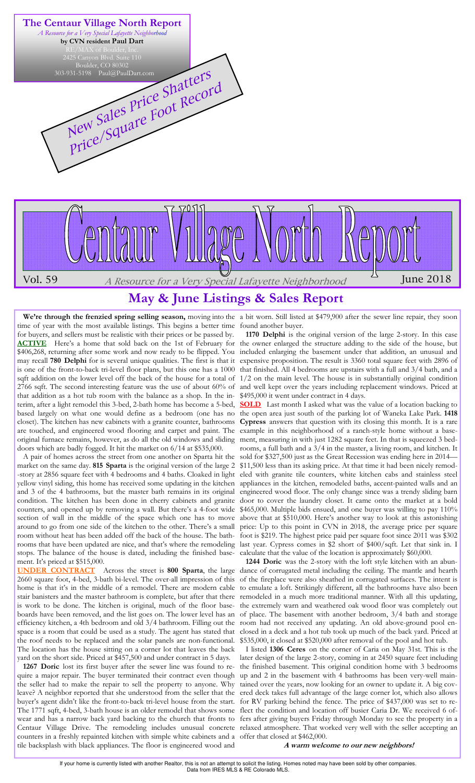

# **May & June Listings & Sales Report**

We're through the frenzied spring selling season, moving into the a bit worn. Still listed at \$479,900 after the sewer line repair, they soon time of year with the most available listings. This begins a better time found another buyer. for buyers, and sellers must be realistic with their prices or be passed by. **ACTIVE** Here's a home that sold back on the 1st of February for may recall **780 Delphi** for is several unique qualities. The first is that it is one of the front-to-back tri-level floor plans, but this one has a 1000 2766 sqft. The second interesting feature was the use of about 60% of that addition as a hot tub room with the balance as a shop. In the interim, after a light remodel this 3-bed, 2-bath home has become a 5-bed, based largely on what one would define as a bedroom (one has no closet). The kitchen has new cabinets with a granite counter, bathrooms are touched, and engineered wood flooring and carpet and paint. The original furnace remains, however, as do all the old windows and sliding doors which are badly fogged. It hit the market on 6/14 at \$535,000.

 A pair of homes across the street from one another on Sparta hit the market on the same day. **815 Sparta** is the original version of the large 2 -story at 2856 square feet with 4 bedrooms and 4 baths. Cloaked in light and 3 of the 4 bathrooms, but the master bath remains in its original condition. The kitchen has been done in cherry cabinets and granite counters, and opened up by removing a wall. But there's a 4-foot wide section of wall in the middle of the space which one has to move around to go from one side of the kitchen to the other. There's a small room without heat has been added off the back of the house. The bathstops. The balance of the house is dated, including the finished basement. It's priced at \$515,000.

**UNDER CONTRACT** Across the street is **800 Sparta**, the large 2660 square foot, 4-bed, 3-bath bi-level. The over-all impression of this home is that it's in the middle of a remodel. There are modern cable stair banisters and the master bathroom is complete, but after that there is work to be done. The kitchen is original, much of the floor baseefficiency kitchen, a 4th bedroom and old 3/4 bathroom. Filling out the space is a room that could be used as a study. The agent has stated that the roof needs to be replaced and the solar panels are non-functional. The location has the house sitting on a corner lot that leaves the back yard on the short side. Priced at \$457,500 and under contract in 5 days.

 **1267 Doric** lost its first buyer after the sewer line was found to require a major repair. The buyer terminated their contract even though the seller had to make the repair to sell the property to anyone. Why leave? A neighbor reported that she understood from the seller that the buyer's agent didn't like the front-to-back tri-level house from the start. The 1771 sqft, 4-bed, 3-bath house is an older remodel that shows some wear and has a narrow back yard backing to the church that fronts to counters in a freshly repainted kitchen with simple white cabinets and a offer that closed at \$462,000. tile backsplash with black appliances. The floor is engineered wood and

\$406,268, returning after some work and now ready to be flipped. You included enlarging the basement under that addition, an unusual and sqft addition on the lower level off the back of the house for a total of  $1/2$  on the main level. The house is in substantially original condition  **1170 Delphi** is the original version of the large 2-story. In this case the owner enlarged the structure adding to the side of the house, but expensive proposition. The result is 3360 total square feet with 2896 of that finished. All 4 bedrooms are upstairs with a full and 3/4 bath, and a and well kept over the years including replacement windows. Priced at \$495,000 it went under contract in 4 days.

yellow vinyl siding, this home has received some updating in the kitchen appliances in the kitchen, remodeled baths, accent-painted walls and an rooms that have been updated are nice, and that's where the remodeling last year. Cypress comes in \$2 short of \$400/sqft. Let that sink in. I **SOLD** Last month I asked what was the value of a location backing to the open area just south of the parking lot of Waneka Lake Park. **1418 Cypress** answers that question with its closing this month. It is a rare example in this neighborhood of a ranch-style home without a basement, measuring in with just 1282 square feet. In that is squeezed 3 bedrooms, a full bath and a 3/4 in the master, a living room, and kitchen. It sold for \$327,500 just as the Great Recession was ending here in 2014— \$11,500 less than its asking price. At that time it had been nicely remodeled with granite tile counters, white kitchen cabs and stainless steel engineered wood floor. The only change since was a trendy sliding barn door to cover the laundry closet. It came onto the market at a bold \$465,000. Multiple bids ensued, and one buyer was willing to pay 110% above that at \$510,000. Here's another way to look at this astonishing price: Up to this point in CVN in 2018, the average price per square foot is \$219. The highest price paid per square foot since 2011 was \$302 calculate that the value of the location is approximately \$60,000.

boards have been removed, and the list goes on. The lower level has an of place. The basement with another bedroom, 3/4 bath and storage  **1244 Doric** was the 2-story with the loft style kitchen with an abundance of corrugated metal including the ceiling. The mantle and hearth of the fireplace were also sheathed in corrugated surfaces. The intent is to emulate a loft. Strikingly different, all the bathrooms have also been remodeled in a much more traditional manner. With all this updating, the extremely warn and weathered oak wood floor was completely out room had not received any updating. An old above-ground pool enclosed in a deck and a hot tub took up much of the back yard. Priced at \$535,000, it closed at \$520,000 after removal of the pool and hot tub.

Centaur Village Drive. The remodeling includes unusual concrete relaxed atmosphere. That worked very well with the seller accepting an I listed **1306 Ceres** on the corner of Caria on May 31st. This is the later design of the large 2-story, coming in at 2450 square feet including the finished basement. This original condition home with 3 bedrooms up and 2 in the basement with 4 bathrooms has been very-well maintained over the years, now looking for an owner to update it. A big covered deck takes full advantage of the large corner lot, which also allows for RV parking behind the fence. The price of \$437,000 was set to reflect the condition and location off busier Caria Dr. We received 6 offers after giving buyers Friday through Monday to see the property in a

**A warm welcome to our new neighbors!**